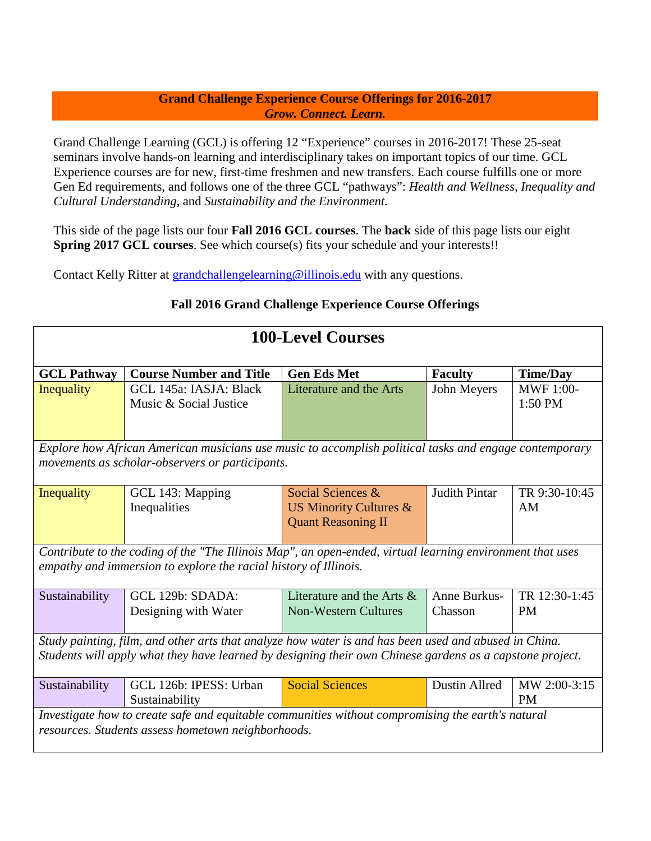## **Grand Challenge Experience Course Offerings for 2016-2017** *Grow. Connect. Learn.*

Grand Challenge Learning (GCL) is offering 12 "Experience" courses in 2016-2017! These 25-seat seminars involve hands-on learning and interdisciplinary takes on important topics of our time. GCL Experience courses are for new, first-time freshmen and new transfers. Each course fulfills one or more Gen Ed requirements, and follows one of the three GCL "pathways": *Health and Wellness, Inequality and Cultural Understanding*, and *Sustainability and the Environment.* 

This side of the page lists our four **Fall 2016 GCL courses**. The **back** side of this page lists our eight **Spring 2017 GCL courses**. See which course(s) fits your schedule and your interests!!

Contact Kelly Ritter at [grandchallengelearning@illinois.edu](mailto:grandchallengelearning@illinois.edu) with any questions.

| <b>100-Level Courses</b>                                                                                                                                                                                          |                                                  |                                                                                     |                         |                             |
|-------------------------------------------------------------------------------------------------------------------------------------------------------------------------------------------------------------------|--------------------------------------------------|-------------------------------------------------------------------------------------|-------------------------|-----------------------------|
| <b>GCL Pathway</b>                                                                                                                                                                                                | <b>Course Number and Title</b>                   | <b>Gen Eds Met</b>                                                                  | <b>Faculty</b>          | <b>Time/Day</b>             |
| Inequality                                                                                                                                                                                                        | GCL 145a: IASJA: Black<br>Music & Social Justice | Literature and the Arts                                                             | John Meyers             | <b>MWF 1:00-</b><br>1:50 PM |
| Explore how African American musicians use music to accomplish political tasks and engage contemporary<br>movements as scholar-observers or participants.                                                         |                                                  |                                                                                     |                         |                             |
| Inequality                                                                                                                                                                                                        | GCL 143: Mapping<br>Inequalities                 | Social Sciences &<br><b>US Minority Cultures &amp;</b><br><b>Quant Reasoning II</b> | <b>Judith Pintar</b>    | TR 9:30-10:45<br>AM         |
| Contribute to the coding of the "The Illinois Map", an open-ended, virtual learning environment that uses<br>empathy and immersion to explore the racial history of Illinois.                                     |                                                  |                                                                                     |                         |                             |
| Sustainability                                                                                                                                                                                                    | GCL 129b: SDADA:<br>Designing with Water         | Literature and the Arts $\&$<br><b>Non-Western Cultures</b>                         | Anne Burkus-<br>Chasson | TR 12:30-1:45<br><b>PM</b>  |
| Study painting, film, and other arts that analyze how water is and has been used and abused in China.<br>Students will apply what they have learned by designing their own Chinese gardens as a capstone project. |                                                  |                                                                                     |                         |                             |
| Sustainability                                                                                                                                                                                                    | GCL 126b: IPESS: Urban<br>Sustainability         | <b>Social Sciences</b>                                                              | Dustin Allred           | MW 2:00-3:15<br>PM          |
| Investigate how to create safe and equitable communities without compromising the earth's natural<br>resources. Students assess hometown neighborhoods.                                                           |                                                  |                                                                                     |                         |                             |

## **Fall 2016 Grand Challenge Experience Course Offerings**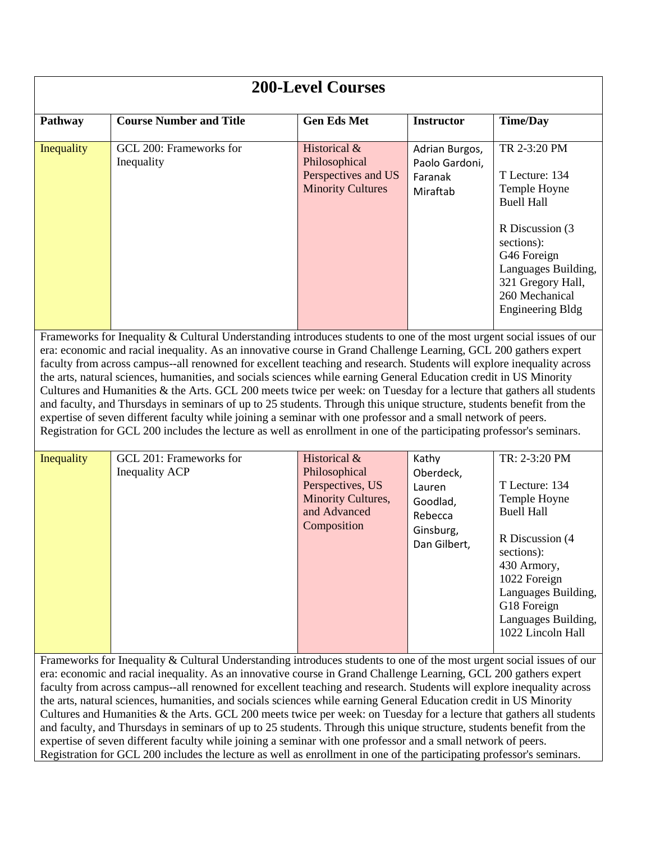| <b>200-Level Courses</b>                                                                                                                                                                                                                                                                                                                                                                                                                                                                                                                                                                                                                                                                                                                                                                                                                                                                                                                                                            |                                                  |                                                 |                                  |                                                                                                                                        |
|-------------------------------------------------------------------------------------------------------------------------------------------------------------------------------------------------------------------------------------------------------------------------------------------------------------------------------------------------------------------------------------------------------------------------------------------------------------------------------------------------------------------------------------------------------------------------------------------------------------------------------------------------------------------------------------------------------------------------------------------------------------------------------------------------------------------------------------------------------------------------------------------------------------------------------------------------------------------------------------|--------------------------------------------------|-------------------------------------------------|----------------------------------|----------------------------------------------------------------------------------------------------------------------------------------|
| Pathway                                                                                                                                                                                                                                                                                                                                                                                                                                                                                                                                                                                                                                                                                                                                                                                                                                                                                                                                                                             | <b>Course Number and Title</b>                   | <b>Gen Eds Met</b>                              | <b>Instructor</b>                | <b>Time/Day</b>                                                                                                                        |
| Inequality                                                                                                                                                                                                                                                                                                                                                                                                                                                                                                                                                                                                                                                                                                                                                                                                                                                                                                                                                                          | GCL 200: Frameworks for<br>Inequality            | Historical &<br>Philosophical                   | Adrian Burgos,<br>Paolo Gardoni, | TR 2-3:20 PM                                                                                                                           |
|                                                                                                                                                                                                                                                                                                                                                                                                                                                                                                                                                                                                                                                                                                                                                                                                                                                                                                                                                                                     |                                                  | Perspectives and US<br><b>Minority Cultures</b> | Faranak<br>Miraftab              | T Lecture: 134<br>Temple Hoyne<br><b>Buell Hall</b>                                                                                    |
|                                                                                                                                                                                                                                                                                                                                                                                                                                                                                                                                                                                                                                                                                                                                                                                                                                                                                                                                                                                     |                                                  |                                                 |                                  | R Discussion (3)<br>sections):<br>G46 Foreign<br>Languages Building,<br>321 Gregory Hall,<br>260 Mechanical<br><b>Engineering Bldg</b> |
| Frameworks for Inequality & Cultural Understanding introduces students to one of the most urgent social issues of our<br>era: economic and racial inequality. As an innovative course in Grand Challenge Learning, GCL 200 gathers expert<br>faculty from across campus--all renowned for excellent teaching and research. Students will explore inequality across<br>the arts, natural sciences, humanities, and socials sciences while earning General Education credit in US Minority<br>Cultures and Humanities & the Arts. GCL 200 meets twice per week: on Tuesday for a lecture that gathers all students<br>and faculty, and Thursdays in seminars of up to 25 students. Through this unique structure, students benefit from the<br>expertise of seven different faculty while joining a seminar with one professor and a small network of peers.<br>Registration for GCL 200 includes the lecture as well as enrollment in one of the participating professor's seminars. |                                                  |                                                 |                                  |                                                                                                                                        |
| Inequality                                                                                                                                                                                                                                                                                                                                                                                                                                                                                                                                                                                                                                                                                                                                                                                                                                                                                                                                                                          | GCL 201: Frameworks for<br><b>Inequality ACP</b> | Historical &<br>Philosophical                   | Kathy<br>Oberdeck,               | TR: 2-3:20 PM                                                                                                                          |
|                                                                                                                                                                                                                                                                                                                                                                                                                                                                                                                                                                                                                                                                                                                                                                                                                                                                                                                                                                                     |                                                  | Perspectives, US                                | Lauren                           | T Lecture: 134                                                                                                                         |
|                                                                                                                                                                                                                                                                                                                                                                                                                                                                                                                                                                                                                                                                                                                                                                                                                                                                                                                                                                                     |                                                  | Minority Cultures,<br>and Advanced              | Goodlad,<br>Rebecca              | Temple Hoyne<br><b>Buell Hall</b>                                                                                                      |
|                                                                                                                                                                                                                                                                                                                                                                                                                                                                                                                                                                                                                                                                                                                                                                                                                                                                                                                                                                                     |                                                  | Composition                                     | Ginsburg,<br>Dan Gilbert,        | R Discussion (4)<br>sections):<br>430 Armory,<br>1022 Foreign                                                                          |
|                                                                                                                                                                                                                                                                                                                                                                                                                                                                                                                                                                                                                                                                                                                                                                                                                                                                                                                                                                                     |                                                  |                                                 |                                  | Languages Building,<br>G18 Foreign                                                                                                     |
|                                                                                                                                                                                                                                                                                                                                                                                                                                                                                                                                                                                                                                                                                                                                                                                                                                                                                                                                                                                     |                                                  |                                                 |                                  | Languages Building,<br>1022 Lincoln Hall                                                                                               |
| Frameworks for Inequality & Cultural Understanding introduces students to one of the most urgent social issues of our                                                                                                                                                                                                                                                                                                                                                                                                                                                                                                                                                                                                                                                                                                                                                                                                                                                               |                                                  |                                                 |                                  |                                                                                                                                        |
| era: economic and racial inequality. As an innovative course in Grand Challenge Learning, GCL 200 gathers expert<br>faculty from across campus--all renowned for excellent teaching and research. Students will explore inequality across                                                                                                                                                                                                                                                                                                                                                                                                                                                                                                                                                                                                                                                                                                                                           |                                                  |                                                 |                                  |                                                                                                                                        |
| the arts, natural sciences, humanities, and socials sciences while earning General Education credit in US Minority                                                                                                                                                                                                                                                                                                                                                                                                                                                                                                                                                                                                                                                                                                                                                                                                                                                                  |                                                  |                                                 |                                  |                                                                                                                                        |
| Cultures and Humanities & the Arts. GCL 200 meets twice per week: on Tuesday for a lecture that gathers all students<br>and faculty, and Thursdays in seminars of up to 25 students. Through this unique structure, students benefit from the                                                                                                                                                                                                                                                                                                                                                                                                                                                                                                                                                                                                                                                                                                                                       |                                                  |                                                 |                                  |                                                                                                                                        |
| expertise of seven different faculty while joining a seminar with one professor and a small network of peers.                                                                                                                                                                                                                                                                                                                                                                                                                                                                                                                                                                                                                                                                                                                                                                                                                                                                       |                                                  |                                                 |                                  |                                                                                                                                        |

Registration for GCL 200 includes the lecture as well as enrollment in one of the participating professor's seminars.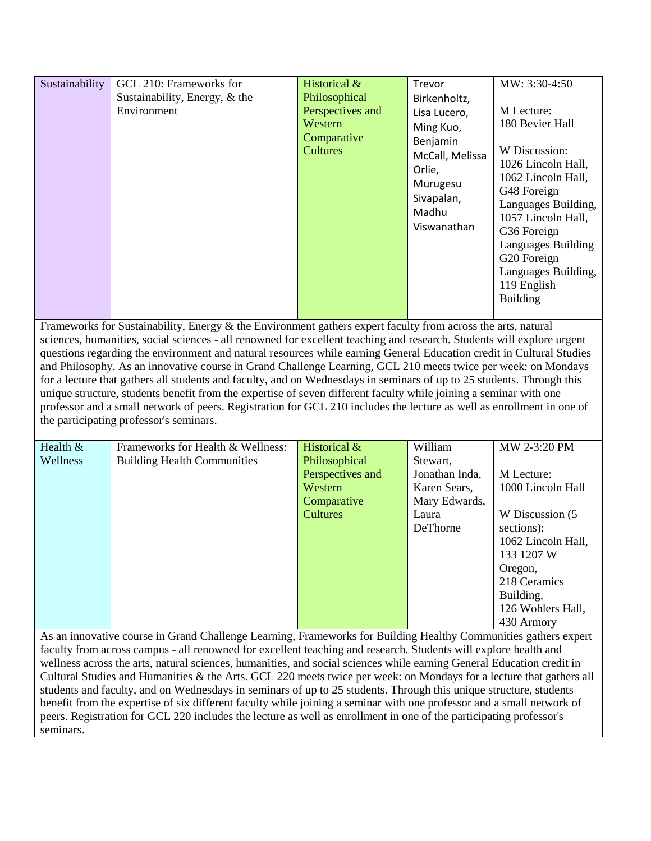| Sustainability | GCL 210: Frameworks for<br>Sustainability, Energy, & the<br>Environment | Historical &<br>Philosophical<br>Perspectives and<br>Western<br>Comparative<br><b>Cultures</b> | Trevor<br>Birkenholtz,<br>Lisa Lucero,<br>Ming Kuo,<br>Benjamin<br>McCall, Melissa<br>Orlie,<br>Murugesu<br>Sivapalan,<br>Madhu<br>Viswanathan | MW: 3:30-4:50<br>M Lecture:<br>180 Bevier Hall<br>W Discussion:<br>1026 Lincoln Hall,<br>1062 Lincoln Hall,<br>G48 Foreign<br>Languages Building,<br>1057 Lincoln Hall,<br>G36 Foreign<br>Languages Building<br>G20 Foreign<br>Languages Building,<br>119 English<br><b>Building</b> |
|----------------|-------------------------------------------------------------------------|------------------------------------------------------------------------------------------------|------------------------------------------------------------------------------------------------------------------------------------------------|--------------------------------------------------------------------------------------------------------------------------------------------------------------------------------------------------------------------------------------------------------------------------------------|
|----------------|-------------------------------------------------------------------------|------------------------------------------------------------------------------------------------|------------------------------------------------------------------------------------------------------------------------------------------------|--------------------------------------------------------------------------------------------------------------------------------------------------------------------------------------------------------------------------------------------------------------------------------------|

Frameworks for Sustainability, Energy & the Environment gathers expert faculty from across the arts, natural sciences, humanities, social sciences - all renowned for excellent teaching and research. Students will explore urgent questions regarding the environment and natural resources while earning General Education credit in Cultural Studies and Philosophy. As an innovative course in Grand Challenge Learning, GCL 210 meets twice per week: on Mondays for a lecture that gathers all students and faculty, and on Wednesdays in seminars of up to 25 students. Through this unique structure, students benefit from the expertise of seven different faculty while joining a seminar with one professor and a small network of peers. Registration for GCL 210 includes the lecture as well as enrollment in one of the participating professor's seminars.

| Health $&$ | Frameworks for Health & Wellness:  | Historical $&$   | William        | MW 2-3:20 PM       |
|------------|------------------------------------|------------------|----------------|--------------------|
| Wellness   | <b>Building Health Communities</b> | Philosophical    | Stewart.       |                    |
|            |                                    | Perspectives and | Jonathan Inda, | M Lecture:         |
|            |                                    | Western          | Karen Sears,   | 1000 Lincoln Hall  |
|            |                                    | Comparative      | Mary Edwards,  |                    |
|            |                                    | <b>Cultures</b>  | Laura          | W Discussion (5)   |
|            |                                    |                  | DeThorne       | sections):         |
|            |                                    |                  |                | 1062 Lincoln Hall, |
|            |                                    |                  |                | 133 1207 W         |
|            |                                    |                  |                | Oregon,            |
|            |                                    |                  |                | 218 Ceramics       |
|            |                                    |                  |                | Building,          |
|            |                                    |                  |                | 126 Wohlers Hall,  |
|            |                                    |                  |                | 430 Armory         |

As an innovative course in Grand Challenge Learning, Frameworks for Building Healthy Communities gathers expert faculty from across campus - all renowned for excellent teaching and research. Students will explore health and wellness across the arts, natural sciences, humanities, and social sciences while earning General Education credit in Cultural Studies and Humanities & the Arts. GCL 220 meets twice per week: on Mondays for a lecture that gathers all students and faculty, and on Wednesdays in seminars of up to 25 students. Through this unique structure, students benefit from the expertise of six different faculty while joining a seminar with one professor and a small network of peers. Registration for GCL 220 includes the lecture as well as enrollment in one of the participating professor's seminars.